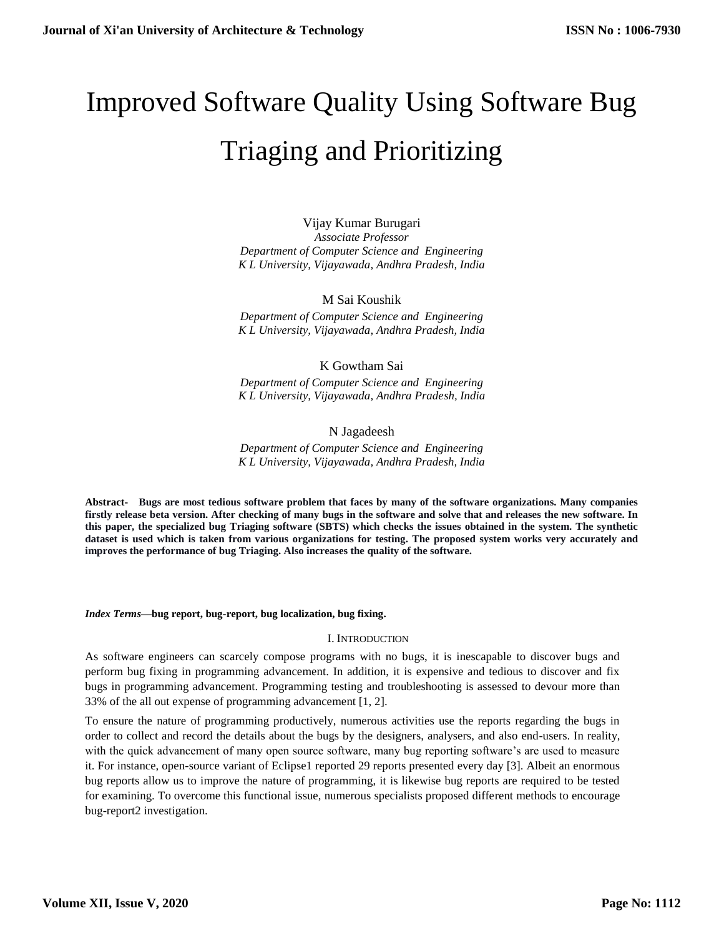# Improved Software Quality Using Software Bug Triaging and Prioritizing

Vijay Kumar Burugari *Associate Professor Department of Computer Science and Engineering K L University, Vijayawada, Andhra Pradesh, India*

# M Sai Koushik

*Department of Computer Science and Engineering K L University, Vijayawada, Andhra Pradesh, India*

# K Gowtham Sai

*Department of Computer Science and Engineering K L University, Vijayawada, Andhra Pradesh, India*

# N Jagadeesh

*Department of Computer Science and Engineering K L University, Vijayawada, Andhra Pradesh, India*

**Abstract- Bugs are most tedious software problem that faces by many of the software organizations. Many companies firstly release beta version. After checking of many bugs in the software and solve that and releases the new software. In this paper, the specialized bug Triaging software (SBTS) which checks the issues obtained in the system. The synthetic dataset is used which is taken from various organizations for testing. The proposed system works very accurately and improves the performance of bug Triaging. Also increases the quality of the software.**

### *Index Terms***—bug report, bug-report, bug localization, bug fixing.**

### I. INTRODUCTION

As software engineers can scarcely compose programs with no bugs, it is inescapable to discover bugs and perform bug fixing in programming advancement. In addition, it is expensive and tedious to discover and fix bugs in programming advancement. Programming testing and troubleshooting is assessed to devour more than 33% of the all out expense of programming advancement [1, 2].

To ensure the nature of programming productively, numerous activities use the reports regarding the bugs in order to collect and record the details about the bugs by the designers, analysers, and also end-users. In reality, with the quick advancement of many open source software, many bug reporting software's are used to measure it. For instance, open-source variant of Eclipse1 reported 29 reports presented every day [3]. Albeit an enormous bug reports allow us to improve the nature of programming, it is likewise bug reports are required to be tested for examining. To overcome this functional issue, numerous specialists proposed different methods to encourage bug-report2 investigation.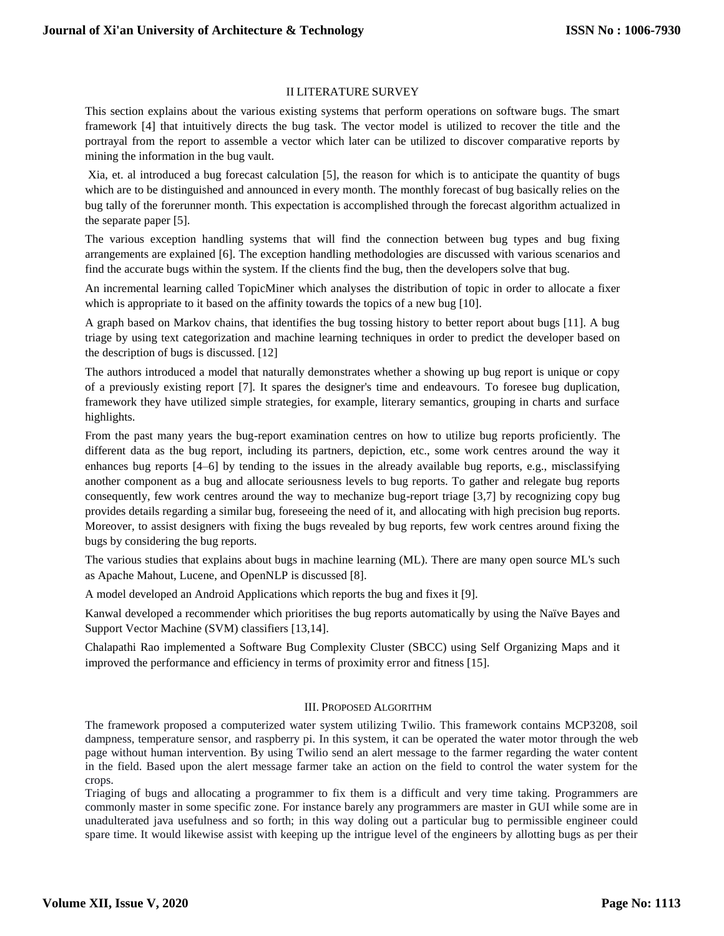# II LITERATURE SURVEY

This section explains about the various existing systems that perform operations on software bugs. The smart framework [4] that intuitively directs the bug task. The vector model is utilized to recover the title and the portrayal from the report to assemble a vector which later can be utilized to discover comparative reports by mining the information in the bug vault.

Xia, et. al introduced a bug forecast calculation [5], the reason for which is to anticipate the quantity of bugs which are to be distinguished and announced in every month. The monthly forecast of bug basically relies on the bug tally of the forerunner month. This expectation is accomplished through the forecast algorithm actualized in the separate paper [5].

The various exception handling systems that will find the connection between bug types and bug fixing arrangements are explained [6]. The exception handling methodologies are discussed with various scenarios and find the accurate bugs within the system. If the clients find the bug, then the developers solve that bug.

An incremental learning called TopicMiner which analyses the distribution of topic in order to allocate a fixer which is appropriate to it based on the affinity towards the topics of a new bug [10].

A graph based on Markov chains, that identifies the bug tossing history to better report about bugs [11]. A bug triage by using text categorization and machine learning techniques in order to predict the developer based on the description of bugs is discussed. [12]

The authors introduced a model that naturally demonstrates whether a showing up bug report is unique or copy of a previously existing report [7]. It spares the designer's time and endeavours. To foresee bug duplication, framework they have utilized simple strategies, for example, literary semantics, grouping in charts and surface highlights.

From the past many years the bug-report examination centres on how to utilize bug reports proficiently. The different data as the bug report, including its partners, depiction, etc., some work centres around the way it enhances bug reports [4–6] by tending to the issues in the already available bug reports, e.g., misclassifying another component as a bug and allocate seriousness levels to bug reports. To gather and relegate bug reports consequently, few work centres around the way to mechanize bug-report triage [3,7] by recognizing copy bug provides details regarding a similar bug, foreseeing the need of it, and allocating with high precision bug reports. Moreover, to assist designers with fixing the bugs revealed by bug reports, few work centres around fixing the bugs by considering the bug reports.

The various studies that explains about bugs in machine learning (ML). There are many open source ML's such as Apache Mahout, Lucene, and OpenNLP is discussed [8].

A model developed an Android Applications which reports the bug and fixes it [9].

Kanwal developed a recommender which prioritises the bug reports automatically by using the Naïve Bayes and Support Vector Machine (SVM) classifiers [13,14].

Chalapathi Rao implemented a Software Bug Complexity Cluster (SBCC) using Self Organizing Maps and it improved the performance and efficiency in terms of proximity error and fitness [15].

### III. PROPOSED ALGORITHM

The framework proposed a computerized water system utilizing Twilio. This framework contains MCP3208, soil dampness, temperature sensor, and raspberry pi. In this system, it can be operated the water motor through the web page without human intervention. By using Twilio send an alert message to the farmer regarding the water content in the field. Based upon the alert message farmer take an action on the field to control the water system for the crops.

Triaging of bugs and allocating a programmer to fix them is a difficult and very time taking. Programmers are commonly master in some specific zone. For instance barely any programmers are master in GUI while some are in unadulterated java usefulness and so forth; in this way doling out a particular bug to permissible engineer could spare time. It would likewise assist with keeping up the intrigue level of the engineers by allotting bugs as per their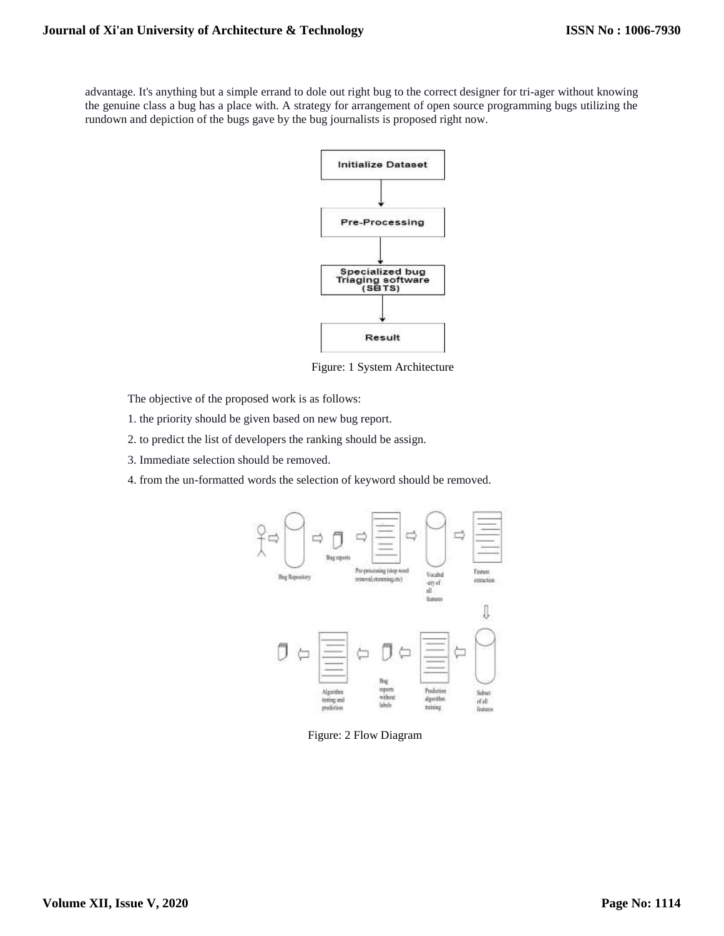advantage. It's anything but a simple errand to dole out right bug to the correct designer for tri-ager without knowing the genuine class a bug has a place with. A strategy for arrangement of open source programming bugs utilizing the rundown and depiction of the bugs gave by the bug journalists is proposed right now.



Figure: 1 System Architecture

The objective of the proposed work is as follows:

- 1. the priority should be given based on new bug report.
- 2. to predict the list of developers the ranking should be assign.
- 3. Immediate selection should be removed.
- 4. from the un-formatted words the selection of keyword should be removed.



Figure: 2 Flow Diagram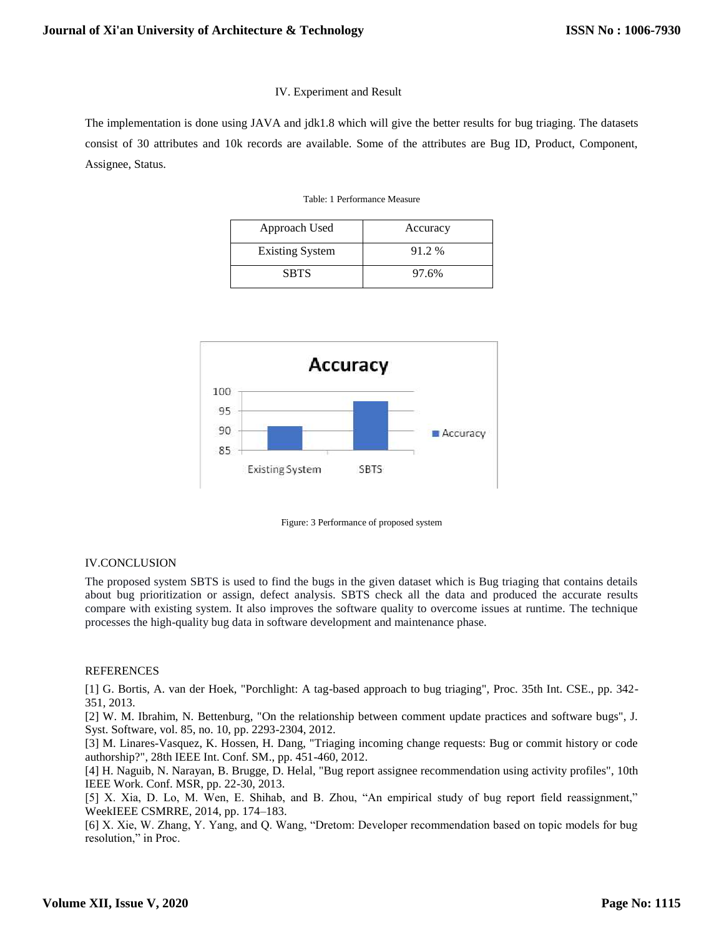# IV. Experiment and Result

The implementation is done using JAVA and jdk1.8 which will give the better results for bug triaging. The datasets consist of 30 attributes and 10k records are available. Some of the attributes are Bug ID, Product, Component, Assignee, Status.

#### Table: 1 Performance Measure

| Approach Used          | Accuracy |
|------------------------|----------|
| <b>Existing System</b> | 91.2 %   |
| <b>SBTS</b>            | 97.6%    |



Figure: 3 Performance of proposed system

### IV.CONCLUSION

The proposed system SBTS is used to find the bugs in the given dataset which is Bug triaging that contains details about bug prioritization or assign, defect analysis. SBTS check all the data and produced the accurate results compare with existing system. It also improves the software quality to overcome issues at runtime. The technique processes the high-quality bug data in software development and maintenance phase.

### REFERENCES

[1] G. Bortis, A. van der Hoek, "Porchlight: A tag-based approach to bug triaging", Proc. 35th Int. CSE., pp. 342- 351, 2013.

[2] W. M. Ibrahim, N. Bettenburg, "On the relationship between comment update practices and software bugs", J. Syst. Software, vol. 85, no. 10, pp. 2293-2304, 2012.

[3] M. Linares-Vasquez, K. Hossen, H. Dang, "Triaging incoming change requests: Bug or commit history or code authorship?", 28th IEEE Int. Conf. SM., pp. 451-460, 2012.

[4] H. Naguib, N. Narayan, B. Brugge, D. Helal, "Bug report assignee recommendation using activity profiles", 10th IEEE Work. Conf. MSR, pp. 22-30, 2013.

[5] X. Xia, D. Lo, M. Wen, E. Shihab, and B. Zhou, "An empirical study of bug report field reassignment," WeekIEEE CSMRRE, 2014, pp. 174–183.

[6] X. Xie, W. Zhang, Y. Yang, and Q. Wang, "Dretom: Developer recommendation based on topic models for bug resolution," in Proc.